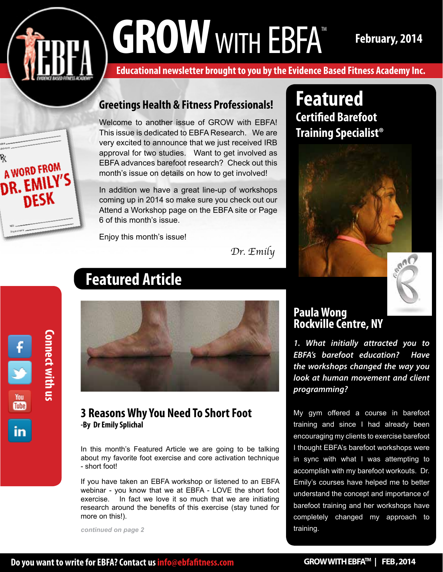# GROW WITH EBFA<sup>TM</sup> February, 2014



**Educational newsletter brought to you by the Evidence Based Fitness Academy Inc.** 

### **Greetings Health & Fitness Professionals!**

Welcome to another issue of GROW with EBFA! This issue is dedicated to EBFA Research. We are very excited to announce that we just received IRB approval for two studies. Want to get involved as EBFA advances barefoot research? Check out this month's issue on details on how to get involved!

In addition we have a great line-up of workshops coming up in 2014 so make sure you check out our Attend a Workshop page on the EBFA site or Page 6 of this month's issue.

Enjoy this month's issue!

*Dr. Emily*





# **Featured Article**



#### **3 Reasons Why You Need To Short Foot -By Dr Emily Splichal**

In this month's Featured Article we are going to be talking about my favorite foot exercise and core activation technique - short foot!

If you have taken an EBFA workshop or listened to an EBFA webinar - you know that we at EBFA - LOVE the short foot exercise. In fact we love it so much that we are initiating research around the benefits of this exercise (stay tuned for more on this!).

*continued on page 2*

» **Featured Certified Barefoot Training Specialist®** 



## **Paula Wong Rockville Centre, NY**

*1. What initially attracted you to EBFA's barefoot education? Have the workshops changed the way you look at human movement and client programming?*

My gym offered a course in barefoot training and since I had already been encouraging my clients to exercise barefoot I thought EBFA's barefoot workshops were in sync with what I was attempting to accomplish with my barefoot workouts. Dr. Emily's courses have helped me to better understand the concept and importance of barefoot training and her workshops have completely changed my approach to training.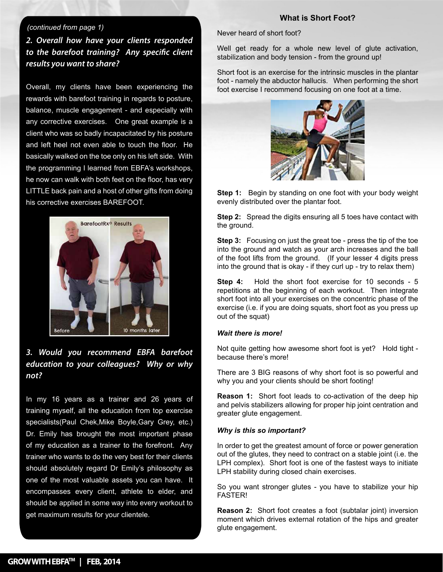#### *(continued from page 1)*

*2. Overall how have your clients responded to the barefoot training? Any specific client results you want to share?*

» client who was so badly incapacitated by his posture » basically walked on the toe only on his left side. With he now can walk with both feet on the floor, has very » his corrective exercises BAREFOOT. Overall, my clients have been experiencing the rewards with barefoot training in regards to posture, balance, muscle engagement - and especially with any corrective exercises. One great example is a and left heel not even able to touch the floor. He the programming I learned from EBFA's workshops, LITTLE back pain and a host of other gifts from doing



*3. Would you recommend EBFA barefoot education to your colleagues? Why or why not?*

In my 16 years as a trainer and 26 years of training myself, all the education from top exercise specialists(Paul Chek,Mike Boyle,Gary Grey, etc.) Dr. Emily has brought the most important phase of my education as a trainer to the forefront. Any trainer who wants to do the very best for their clients should absolutely regard Dr Emily's philosophy as one of the most valuable assets you can have. It encompasses every client, athlete to elder, and should be applied in some way into every workout to get maximum results for your clientele.

#### **What is Short Foot?**

Never heard of short foot?

Well get ready for a whole new level of glute activation, stabilization and body tension - from the ground up!

Short foot is an exercise for the intrinsic muscles in the plantar foot - namely the abductor hallucis. When performing the short foot exercise I recommend focusing on one foot at a time.



**Step 1:** Begin by standing on one foot with your body weight evenly distributed over the plantar foot.

**Step 2:** Spread the digits ensuring all 5 toes have contact with the ground.

**Step 3:** Focusing on just the great toe - press the tip of the toe into the ground and watch as your arch increases and the ball of the foot lifts from the ground. (If your lesser 4 digits press into the ground that is okay - if they curl up - try to relax them)

**Step 4:** Hold the short foot exercise for 10 seconds - 5 repetitions at the beginning of each workout. Then integrate short foot into all your exercises on the concentric phase of the exercise (i.e. if you are doing squats, short foot as you press up out of the squat)

#### *Wait there is more!*

Not quite getting how awesome short foot is yet? Hold tight because there's more!

There are 3 BIG reasons of why short foot is so powerful and why you and your clients should be short footing!

**Reason 1:** Short foot leads to co-activation of the deep hip and pelvis stabilizers allowing for proper hip joint centration and greater glute engagement.

#### *Why is this so important?*

In order to get the greatest amount of force or power generation out of the glutes, they need to contract on a stable joint (i.e. the LPH complex). Short foot is one of the fastest ways to initiate LPH stability during closed chain exercises.

So you want stronger glutes - you have to stabilize your hip FASTER!

**Reason 2:** Short foot creates a foot (subtalar joint) inversion moment which drives external rotation of the hips and greater glute engagement.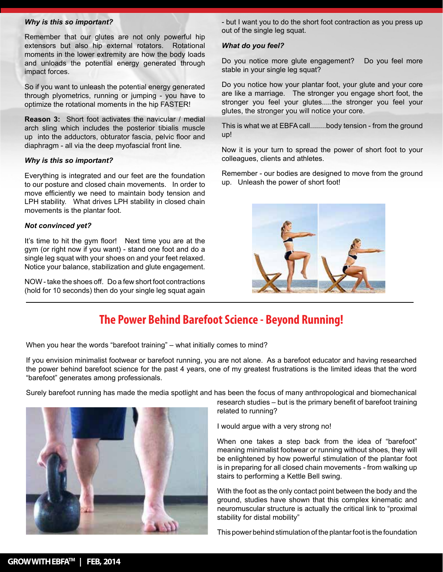#### *Why is this so important?*

Remember that our glutes are not only powerful hip extensors but also hip external rotators. Rotational moments in the lower extremity are how the body loads and unloads the potential energy generated through impact forces.

So if you want to unleash the potential energy generated through plyometrics, running or jumping - you have to optimize the rotational moments in the hip FASTER!

**Reason 3:** Short foot activates the navicular / medial arch sling which includes the posterior tibialis muscle up into the adductors, obturator fascia, pelvic floor and diaphragm - all via the deep myofascial front line.

#### *Why is this so important?*

Everything is integrated and our feet are the foundation to our posture and closed chain movements. In order to move efficiently we need to maintain body tension and LPH stability. What drives LPH stability in closed chain movements is the plantar foot.

#### *Not convinced yet?*

It's time to hit the gym floor! Next time you are at the gym (or right now if you want) - stand one foot and do a single leg squat with your shoes on and your feet relaxed. Notice your balance, stabilization and glute engagement.

NOW - take the shoes off. Do a few short foot contractions (hold for 10 seconds) then do your single leg squat again - but I want you to do the short foot contraction as you press up out of the single leg squat.

#### *What do you feel?*

Do you notice more glute engagement? Do you feel more stable in your single leg squat?

Do you notice how your plantar foot, your glute and your core are like a marriage. The stronger you engage short foot, the stronger you feel your glutes.....the stronger you feel your glutes, the stronger you will notice your core.

This is what we at EBFA call........body tension - from the ground up!

Now it is your turn to spread the power of short foot to your colleagues, clients and athletes.

Remember - our bodies are designed to move from the ground up. Unleash the power of short foot!



## **The Power Behind Barefoot Science - Beyond Running!**

When you hear the words "barefoot training" – what initially comes to mind?

If you envision minimalist footwear or barefoot running, you are not alone. As a barefoot educator and having researched the power behind barefoot science for the past 4 years, one of my greatest frustrations is the limited ideas that the word "barefoot" generates among professionals.

Surely barefoot running has made the media spotlight and has been the focus of many anthropological and biomechanical



research studies – but is the primary benefit of barefoot training related to running?

I would argue with a very strong no!

When one takes a step back from the idea of "barefoot" meaning minimalist footwear or running without shoes, they will be enlightened by how powerful stimulation of the plantar foot is in preparing for all closed chain movements - from walking up stairs to performing a Kettle Bell swing.

With the foot as the only contact point between the body and the ground, studies have shown that this complex kinematic and neuromuscular structure is actually the critical link to "proximal stability for distal mobility"

This power behind stimulation of the plantar foot is the foundation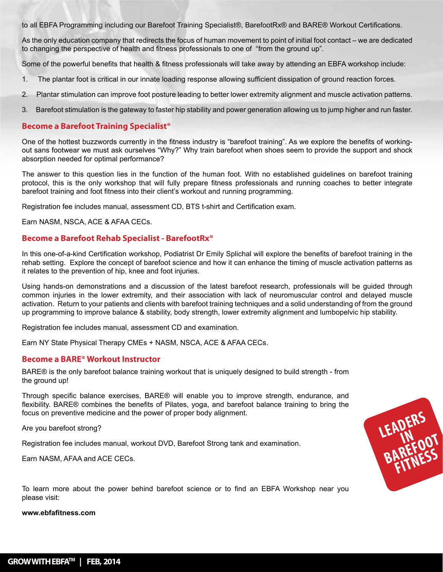to all EBFA Programming including our Barefoot Training Specialist®, BarefootRx® and BARE® Workout Certifications.

As the only education company that redirects the focus of human movement to point of initial foot contact – we are dedicated to changing the perspective of health and fitness professionals to one of "from the ground up".

Some of the powerful benefits that health & fitness professionals will take away by attending an EBFA workshop include:

- 1. The plantar foot is critical in our innate loading response allowing sufficient dissipation of ground reaction forces.
- 2. Plantar stimulation can improve foot posture leading to better lower extremity alignment and muscle activation patterns.
- 3. Barefoot stimulation is the gateway to faster hip stability and power generation allowing us to jump higher and run faster.

#### **Become a Barefoot Training Specialist®**

One of the hottest buzzwords currently in the fitness industry is "barefoot training". As we explore the benefits of workingout sans footwear we must ask ourselves "Why?" Why train barefoot when shoes seem to provide the support and shock absorption needed for optimal performance?

The answer to this question lies in the function of the human foot. With no established guidelines on barefoot training protocol, this is the only workshop that will fully prepare fitness professionals and running coaches to better integrate barefoot training and foot fitness into their client's workout and running programming.

Registration fee includes manual, assessment CD, BTS t-shirt and Certification exam.

Earn NASM, NSCA, ACE & AFAA CECs.

#### **Become a Barefoot Rehab Specialist - BarefootRx®**

In this one-of-a-kind Certification workshop, Podiatrist Dr Emily Splichal will explore the benefits of barefoot training in the rehab setting. Explore the concept of barefoot science and how it can enhance the timing of muscle activation patterns as it relates to the prevention of hip, knee and foot injuries.

Using hands-on demonstrations and a discussion of the latest barefoot research, professionals will be guided through common injuries in the lower extremity, and their association with lack of neuromuscular control and delayed muscle activation. Return to your patients and clients with barefoot training techniques and a solid understanding of from the ground up programming to improve balance & stability, body strength, lower extremity alignment and lumbopelvic hip stability.

LEADERS<br>BAREFOOT

**FITNESS**

Registration fee includes manual, assessment CD and examination.

Earn NY State Physical Therapy CMEs + NASM, NSCA, ACE & AFAA CECs.

#### **Become a BARE® Workout Instructor**

BARE® is the only barefoot balance training workout that is uniquely designed to build strength - from the ground up!

Through specific balance exercises, BARE® will enable you to improve strength, endurance, and flexibility. BARE® combines the benefits of Pilates, yoga, and barefoot balance training to bring the focus on preventive medicine and the power of proper body alignment.

Are you barefoot strong?

Registration fee includes manual, workout DVD, Barefoot Strong tank and examination.

Earn NASM, AFAA and ACE CECs.

To learn more about the power behind barefoot science or to find an EBFA Workshop near you please visit:

**www.ebfafitness.com**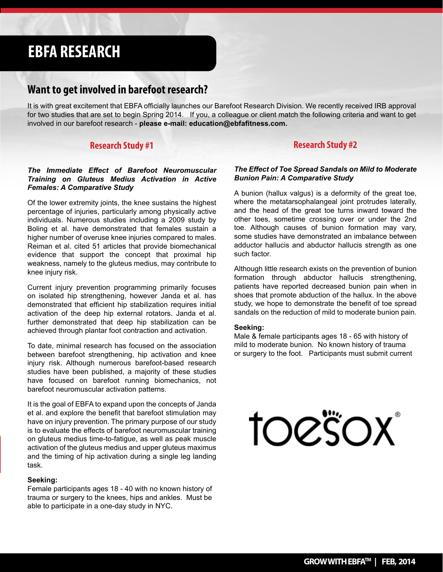## **EBFA RESEARCH**

#### **Want to get involved in barefoot research?**

It is with great excitement that EBFA officially launches our Barefoot Research Division. We recently received IRB approval for two studies that are set to begin Spring 2014. If you, a colleague or client match the following criteria and want to get involved in our barefoot research - **please e-mail: education@ebfafitness.com.**

#### **Research Study #1**

#### *The Immediate Effect of Barefoot Neuromuscular Training on Gluteus Medius Activation in Active Females: A Comparative Study*

Of the lower extremity joints, the knee sustains the highest percentage of injuries, particularly among physically active individuals. Numerous studies including a 2009 study by Boling et al. have demonstrated that females sustain a higher number of overuse knee injuries compared to males. Reiman et al. cited 51 articles that provide biomechanical evidence that support the concept that proximal hip weakness, namely to the gluteus medius, may contribute to knee injury risk.

Current injury prevention programming primarily focuses on isolated hip strengthening, however Janda et al. has demonstrated that efficient hip stabilization requires initial activation of the deep hip external rotators. Janda et al. further demonstrated that deep hip stabilization can be achieved through plantar foot contraction and activation.

To date, minimal research has focused on the association between barefoot strengthening, hip activation and knee injury risk. Although numerous barefoot-based research studies have been published, a majority of these studies have focused on barefoot running biomechanics, not barefoot neuromuscular activation patterns.

It is the goal of EBFA to expand upon the concepts of Janda et al. and explore the benefit that barefoot stimulation may have on injury prevention. The primary purpose of our study is to evaluate the effects of barefoot neuromuscular training on gluteus medius time-to-fatigue, as well as peak muscle activation of the gluteus medius and upper gluteus maximus and the timing of hip activation during a single leg landing task.

#### **Seeking:**

Female participants ages 18 - 40 with no known history of trauma or surgery to the knees, hips and ankles. Must be able to participate in a one-day study in NYC.

#### **Research Study #2**

#### *The Effect of Toe Spread Sandals on Mild to Moderate Bunion Pain: A Comparative Study*

A bunion (hallux valgus) is a deformity of the great toe, where the metatarsophalangeal joint protrudes laterally, and the head of the great toe turns inward toward the other toes, sometime crossing over or under the 2nd toe. Although causes of bunion formation may vary, some studies have demonstrated an imbalance between adductor hallucis and abductor hallucis strength as one such factor.

Although little research exists on the prevention of bunion formation through abductor hallucis strengthening, patients have reported decreased bunion pain when in shoes that promote abduction of the hallux. In the above study, we hope to demonstrate the benefit of toe spread sandals on the reduction of mild to moderate bunion pain.

#### **Seeking:**

Male & female participants ages 18 - 65 with history of mild to moderate bunion. No known history of trauma or surgery to the foot. Participants must submit current

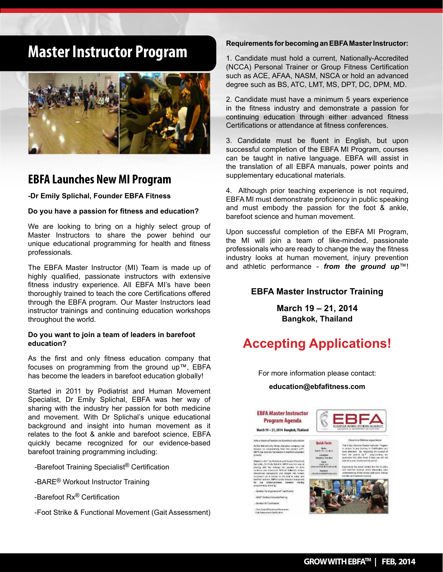## **Master Instructor Program**



### **EBFA Launches New MI Program**

**-Dr Emily Splichal, Founder EBFA Fitness**

**Do you have a passion for fitness and education?**

We are looking to bring on a highly select group of Master Instructors to share the power behind our unique educational programming for health and fitness professionals.

The EBFA Master Instructor (MI) Team is made up of highly qualified, passionate instructors with extensive fitness industry experience. All EBFA MI's have been thoroughly trained to teach the core Certifications offered through the EBFA program. Our Master Instructors lead instructor trainings and continuing education workshops throughout the world.

#### **Do you want to join a team of leaders in barefoot education?**

As the first and only fitness education company that focuses on programming from the ground up™, EBFA has become the leaders in barefoot education globally!

Started in 2011 by Podiatrist and Human Movement Specialist, Dr Emily Splichal, EBFA was her way of sharing with the industry her passion for both medicine and movement. With Dr Splichal's unique educational background and insight into human movement as it relates to the foot & ankle and barefoot science, EBFA quickly became recognized for our evidence-based barefoot training programming including:

-Barefoot Training Specialist® Certification

-BARE® Workout Instructor Training

-Barefoot Rx® Certification

-Foot Strike & Functional Movement (Gait Assessment)

#### **Requirements for becoming an EBFA Master Instructor:**

1. Candidate must hold a current, Nationally-Accredited (NCCA) Personal Trainer or Group Fitness Certification such as ACE, AFAA, NASM, NSCA or hold an advanced degree such as BS, ATC, LMT, MS, DPT, DC, DPM, MD.

2. Candidate must have a minimum 5 years experience in the fitness industry and demonstrate a passion for continuing education through either advanced fitness Certifications or attendance at fitness conferences.

3. Candidate must be fluent in English, but upon successful completion of the EBFA MI Program, courses can be taught in native language. EBFA will assist in the translation of all EBFA manuals, power points and supplementary educational materials.

4. Although prior teaching experience is not required, EBFA MI must demonstrate proficiency in public speaking and must embody the passion for the foot & ankle, barefoot science and human movement.

Upon successful completion of the EBFA MI Program, the MI will join a team of like-minded, passionate professionals who are ready to change the way the fitness industry looks at human movement, injury prevention and athletic performance - *from the ground up*™!

#### **EBFA Master Instructor Training**

**March 19 – 21, 2014 Bangkok, Thailand**

## **Accepting Applications!**

For more information please contact:

#### **education@ebfafitness.com**

*Lecanion*<br>Eurgics Themes

Cast<br>Sing pas<br>Cinciude based

#### **EBFA Master Instructor Program Agenda**



n 2011 by Photosod and Human May<br>1, Dr Ensiy Ratchat, EBSA was for<br>1891 - Net mikinity, for passion 15<br>1 and movement, With Dr Ralinkofo<br>141 - An it restaur in the fort & ank<br>11 an it restaur in the fort & ank

- Sundoor franking Specialist" Centricular - SANCY Work our United action Trade inc.





3 day intercient Master Institute

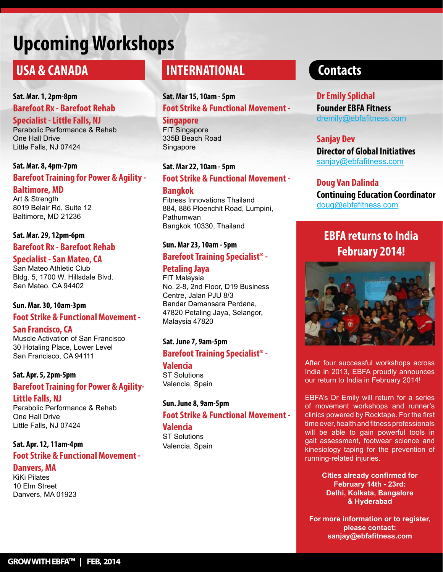# **Upcoming Workshops**

## **USA & CANADA**

**Sat. Mar. 1, 2pm-8pm Barefoot Rx - Barefoot Rehab Specialist - Little Falls, NJ**  Parabolic Performance & Rehab

One Hall Drive Little Falls, NJ 07424

#### **Sat. Mar. 8, 4pm-7pm Barefoot Training for Power & Agility - Baltimore, MD** Art & Strength

8019 Belair Rd, Suite 12 Baltimore, MD 21236

#### **Sat. Mar. 29, 12pm-6pm Barefoot Rx - Barefoot Rehab**

#### **Specialist - San Mateo, CA**

San Mateo Athletic Club Bldg. 5, 1700 W. Hillsdale Blvd. San Mateo, CA 94402

#### **Sun. Mar. 30, 10am-3pm**

#### **Foot Strike & Functional Movement -**

#### **San Francisco, CA**

Muscle Activation of San Francisco 30 Hotaling Place, Lower Level San Francisco, CA 94111

**Sat. Apr. 5, 2pm-5pm Barefoot Training for Power & Agility-Little Falls, NJ**

Parabolic Performance & Rehab One Hall Drive Little Falls, NJ 07424

#### **Sat. Apr. 12, 11am-4pm Foot Strike & Functional Movement -**

**Danvers, MA** KiKi Pilates 10 Elm Street Danvers, MA 01923

## **INTERNATIONAL**

## **Sat. Mar 15, 10am - 5pm Foot Strike & Functional Movement -**

**Singapore**  FIT Singapore 335B Beach Road Singapore

#### **Sat. Mar 22, 10am - 5pm Foot Strike & Functional Movement - Bangkok**

Fitness Innovations Thailand 884, 886 Ploenchit Road, Lumpini, Pathumwan Bangkok 10330, Thailand

#### **Sun. Mar 23, 10am - 5pm**

#### **Barefoot Training Specialist® -**

#### **Petaling Jaya**

FIT Malaysia No. 2-8, 2nd Floor, D19 Business Centre, Jalan PJU 8/3 Bandar Damansara Perdana, 47820 Petaling Jaya, Selangor, Malaysia 47820

#### **Sat. June 7, 9am-5pm**

#### **Barefoot Training Specialist® - Valencia**

ST Solutions Valencia, Spain

## **Sun. June 8, 9am-5pm**

#### **Foot Strike & Functional Movement - Valencia**

ST Solutions Valencia, Spain

## **Contacts**

## **Dr Emily Splichal**

**Founder EBFA Fitness** dremily@ebfafitness.com

#### **Sanjay Dev**

**Director of Global Initiatives** sanjay@ebfafitness.com

#### **Doug Van Dalinda**

**Continuing Education Coordinator** doug@ebfafitness.com

## **EBFA returns to India February 2014!**



After four successful workshops across India in 2013, EBFA proudly announces our return to India in February 2014!

EBFA's Dr Emily will return for a series of movement workshops and runner's clinics powered by Rocktape. For the first time ever, health and fitness professionals will be able to gain powerful tools in gait assessment, footwear science and kinesiology taping for the prevention of running-related injuries.

> **Cities already confirmed for February 14th - 23rd: Delhi, Kolkata, Bangalore & Hyderabad**

**For more information or to register, please contact: sanjay@ebfafitness.com**